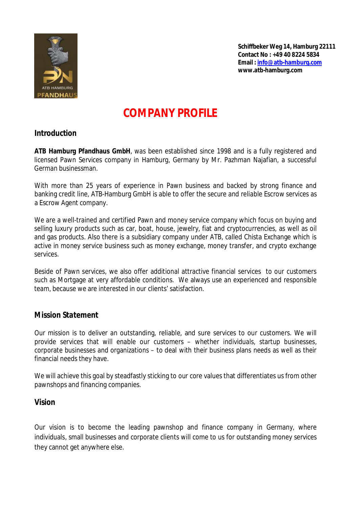

# **COMPANY PROFILE**

# *Introduction*

**ATB Hamburg Pfandhaus GmbH**, was been established since 1998 and is a fully registered and licensed Pawn Services company in Hamburg, Germany by Mr. Pazhman Najafian, a successful German businessman.

With more than 25 years of experience in Pawn business and backed by strong finance and banking credit line, ATB-Hamburg GmbH is able to offer the secure and reliable Escrow services as a Escrow Agent company.

We are a well-trained and certified Pawn and money service company which focus on buying and selling luxury products such as car, boat, house, jewelry, fiat and cryptocurrencies, as well as oil and gas products. Also there is a subsidiary company under ATB, called Chista Exchange which is active in money service business such as money exchange, money transfer, and crypto exchange services.

Beside of Pawn services, we also offer additional attractive financial services to our customers such as Mortgage at very affordable conditions. We always use an experienced and responsible team, because we are interested in our clients' satisfaction.

# *Mission Statement*

Our mission is to deliver an outstanding, reliable, and sure services to our customers. We will provide services that will enable our customers – whether individuals, startup businesses, corporate businesses and organizations – to deal with their business plans needs as well as their financial needs they have.

We will achieve this goal by steadfastly sticking to our core values that differentiates us from other pawnshops and financing companies.

## *Vision*

Our vision is to become the leading pawnshop and finance company in Germany, where individuals, small businesses and corporate clients will come to us for outstanding money services they cannot get anywhere else.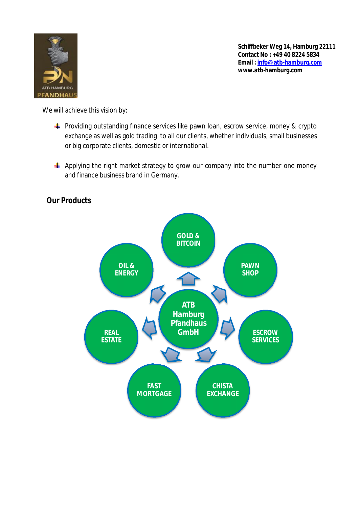

We will achieve this vision by:

- **F** Providing outstanding finance services like pawn loan, escrow service, money & crypto exchange as well as gold trading to all our clients, whether individuals, small businesses or big corporate clients, domestic or international.
- $\ddot{+}$  Applying the right market strategy to grow our company into the number one money and finance business brand in Germany.



*Our Products*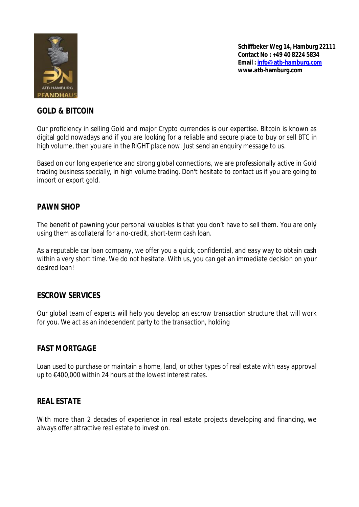

## *GOLD & BITCOIN*

Our proficiency in selling Gold and major Crypto currencies is our expertise. Bitcoin is known as digital gold nowadays and if you are looking for a reliable and secure place to buy or sell BTC in high volume, then you are in the RIGHT place now. Just send an enquiry message to us.

Based on our long experience and strong global connections, we are professionally active in Gold trading business specially, in high volume trading. Don't hesitate to contact us if you are going to import or export gold.

## *PAWN SHOP*

The benefit of pawning your personal valuables is that you don't have to sell them. You are only using them as collateral for a no-credit, short-term cash loan.

As a reputable car loan company, we offer you a quick, confidential, and easy way to obtain cash within a very short time. We do not hesitate. With us, you can get an immediate decision on your desired loan!

### *ESCROW SERVICES*

Our global team of experts will help you develop an escrow transaction structure that will work for you. We act as an independent party to the transaction, holding

### *FAST MORTGAGE*

Loan used to purchase or maintain a home, land, or other types of real estate with easy approval up to €400,000 within 24 hours at the lowest interest rates.

### *REAL ESTATE*

With more than 2 decades of experience in real estate projects developing and financing, we always offer attractive real estate to invest on.